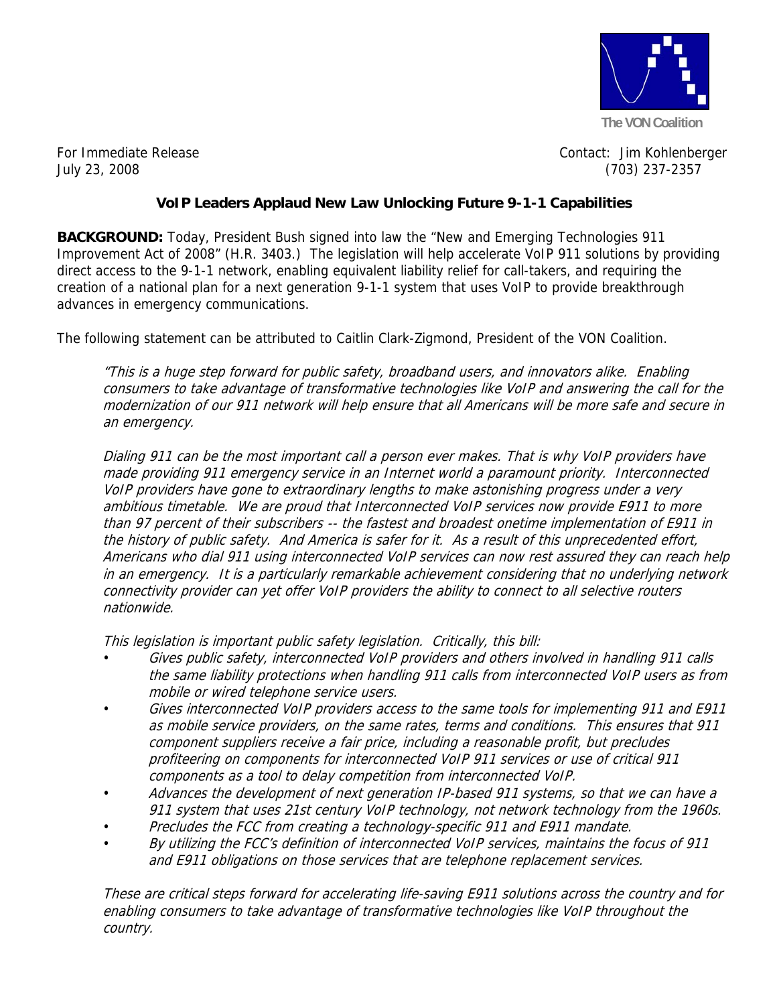

For Immediate Release **Contact:** Jim Kohlenberger July 23, 2008 (703) 237-2357

## **VoIP Leaders Applaud New Law Unlocking Future 9-1-1 Capabilities**

**BACKGROUND:** Today, President Bush signed into law the "New and Emerging Technologies 911 Improvement Act of 2008" (H.R. 3403.) The legislation will help accelerate VoIP 911 solutions by providing direct access to the 9-1-1 network, enabling equivalent liability relief for call-takers, and requiring the creation of a national plan for a next generation 9-1-1 system that uses VoIP to provide breakthrough advances in emergency communications.

The following statement can be attributed to Caitlin Clark-Zigmond, President of the VON Coalition.

"This is a huge step forward for public safety, broadband users, and innovators alike. Enabling consumers to take advantage of transformative technologies like VoIP and answering the call for the modernization of our 911 network will help ensure that all Americans will be more safe and secure in an emergency.

Dialing 911 can be the most important call a person ever makes. That is why VoIP providers have made providing 911 emergency service in an Internet world a paramount priority. Interconnected VoIP providers have gone to extraordinary lengths to make astonishing progress under a very ambitious timetable. We are proud that Interconnected VoIP services now provide E911 to more than 97 percent of their subscribers -- the fastest and broadest onetime implementation of E911 in the history of public safety. And America is safer for it. As a result of this unprecedented effort, Americans who dial 911 using interconnected VoIP services can now rest assured they can reach help in an emergency. It is a particularly remarkable achievement considering that no underlying network connectivity provider can yet offer VoIP providers the ability to connect to all selective routers nationwide.

This legislation is important public safety legislation. Critically, this bill:

- Gives public safety, interconnected VoIP providers and others involved in handling 911 calls the same liability protections when handling 911 calls from interconnected VoIP users as from mobile or wired telephone service users.
- Gives interconnected VoIP providers access to the same tools for implementing 911 and E911 as mobile service providers, on the same rates, terms and conditions. This ensures that 911 component suppliers receive a fair price, including a reasonable profit, but precludes profiteering on components for interconnected VoIP 911 services or use of critical 911 components as a tool to delay competition from interconnected VoIP.
- Advances the development of next generation IP-based 911 systems, so that we can have a 911 system that uses 21st century VoIP technology, not network technology from the 1960s.
- Precludes the FCC from creating a technology-specific 911 and E911 mandate.
- By utilizing the FCC's definition of interconnected VoIP services, maintains the focus of 911 and E911 obligations on those services that are telephone replacement services.

These are critical steps forward for accelerating life-saving E911 solutions across the country and for enabling consumers to take advantage of transformative technologies like VoIP throughout the country.